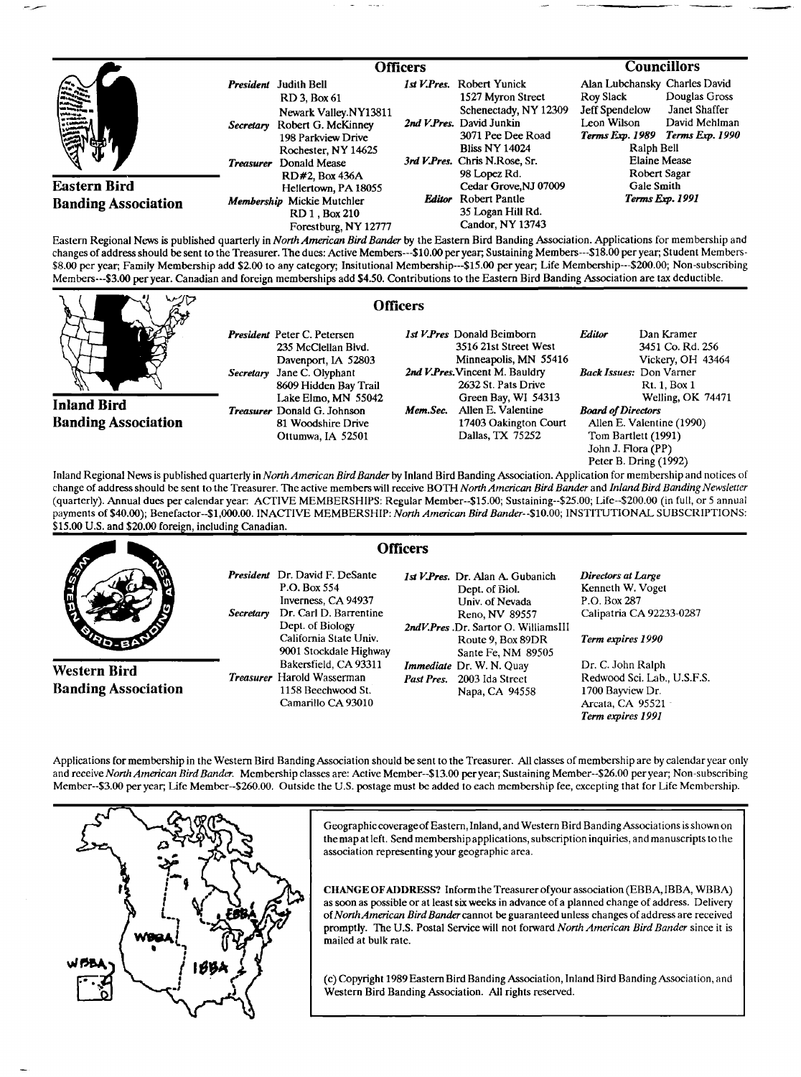|                                                   |                                                                                                                                                                                           | <b>Officers</b> |                                                                                                                                                                                    | <b>Councillors</b>                                                                        |                                                                                                           |
|---------------------------------------------------|-------------------------------------------------------------------------------------------------------------------------------------------------------------------------------------------|-----------------|------------------------------------------------------------------------------------------------------------------------------------------------------------------------------------|-------------------------------------------------------------------------------------------|-----------------------------------------------------------------------------------------------------------|
| 震荡                                                | <b>Judith Bell</b><br>President<br>RD 3, Box 61<br>Newark Valley.NY13811<br>Secretary Robert G. McKinney<br>198 Parkview Drive<br>Rochester, NY 14625<br>Donald Mease<br><b>Treasurer</b> |                 | 1st V.Pres. Robert Yunick<br>1527 Myron Street<br>Schenectady, NY 12309<br>2nd V.Pres. David Junkin<br>3071 Pee Dee Road<br><b>Bliss NY 14024</b><br>3rd V.Pres. Chris N.Rose, Sr. | Alan Lubchansky Charles David<br>Roy Slack<br>Jeff Spendelow<br>Leon Wilson<br>Ralph Bell | Douglas Gross<br>Janet Shaffer<br>David Mehlman<br>Terms Exp. 1989 Terms Exp. 1990<br><b>Elaine Mease</b> |
| <b>Eastern Bird</b><br><b>Banding Association</b> | RD#2, Box 436A<br>Hellertown, PA 18055<br>Membership Mickie Mutchler<br>RD 1, Box 210<br>Forestburg, NY 12777                                                                             |                 | 98 Lopez Rd.<br>Cedar Grove, NJ 07009<br><b>Editor</b> Robert Pantle<br>35 Logan Hill Rd.<br>Candor, NY 13743                                                                      | Robert Sagar<br>Gale Smith<br>Terms Exp. 1991                                             |                                                                                                           |

**Eastern Regional News is published quarterly in North American Bird Bander by the Eastern Bird Banding Association. Applications for membership and**  changes of address should be sent to the Treasurer. The dues: Active Members---\$10.00 per year; Sustaining Members---\$18.00 per year; Student Members-**\$8.00 per year; Family Membership add \$2.00 to any category; Insitutional Membership---S15.00 per year; Life Membership---S200.00; Non-subscribing Members---S3.00 per year. Canadian and foreign memberships add \$4.50. Contributions tothe Eastern Bird Banding Association are tax deductible.** 

**Inland Bird Banding Association**  **President Peter C. Petersen 235 McClellan Blvd. Davenport, IA 52803 Secretary Jane C. Olyphant 8609 Hidden Bay Trail Lake Elmo, MN 55042 Treasurer Donald G. Johnson 81 Woodshire Drive Ottumwa, IA 52501** 

**Officers** 

**1st HPres Donald Beimborn 3516 21st Street West Minneapolis, MN 55416**  2nd V.Pres. Vincent M. Bauldry **2632 St. Pats Drive Green Bay, WI 54313**  Mem.Sec. Allen E. Valentine **17403 Oakington Court Dallas, TX 75252 Editor** Dan Kramer **3451 Co. Rd. 256 Vickery, OH 43464 Back Issues: Don Varner Rt. 1, Box 1 Welling, OK 74471 Board of Directors Allen E. Valentine (1990) Tom Bartlett (1991) John J. Flora (PP) Peter B. Dring (1992)** 

Inland Regional News is published quarterly in *North American Bird Bander* by Inland Bird Banding Association. Application for membership and notices of change of address should be sent to the Treasurer. The active members will receive BOTH North American Bird Bander and Inland Bird Banding Newsletter **(quarterly). Annual dues per calendar year:. ACTIVE MEMBERSHIPS: Regular Member--S15.00; Sustaining--S25.00; Life--S200.00 (in full, or 5 annual payments of \$40.00); Benefactor--S1,000.00. INACTIVE MEMBERSHIP: North American Bird Bander--S10.00; INSTITUTIONAL SUBSCRIPTIONS:**  \$15.00 U.S. and \$20.00 foreign, including Canadian.

|                                                   |                                                                                                                                                                                             | <b>Officers</b>                                                                                                                                                             |                                                                                                         |
|---------------------------------------------------|---------------------------------------------------------------------------------------------------------------------------------------------------------------------------------------------|-----------------------------------------------------------------------------------------------------------------------------------------------------------------------------|---------------------------------------------------------------------------------------------------------|
| <b>A</b><br><b>SO-BP</b>                          | <b>President</b> Dr. David F. DeSante<br>P.O. Box 554<br>Inverness, CA 94937<br>Dr. Carl D. Barrentine<br>Secretary<br>Dept. of Biology<br>California State Univ.<br>9001 Stockdale Highway | 1st V. Pres. Dr. Alan A. Gubanich<br>Dept. of Biol.<br>Univ. of Nevada<br>Reno, NV 89557<br>2ndV.Pres .Dr. Sartor O. WilliamsIII<br>Route 9, Box 89DR<br>Sante Fe, NM 89505 | Directors at Large<br>Kenneth W. Voget<br>P.O. Box 287<br>Calipatria CA 92233-0287<br>Term expires 1990 |
| <b>Western Bird</b><br><b>Banding Association</b> | Bakersfield, CA 93311<br><i>Treasurer</i> Harold Wasserman<br>1158 Beechwood St.<br>Camarillo CA 93010                                                                                      | <i>Immediate Dr. W. N. Quay</i><br>Past Pres. 2003 Ida Street<br>Napa, CA 94558                                                                                             | Dr. C. John Ralph<br>Redwood Sci. Lab., U.S.F.S.<br>1700 Bayview Dr.<br>Arcata, CA 95521<br>.           |

Applications for membership in the Western Bird Banding Association should be sent to the Treasurer. All classes of membership are by calendar year only **and receive North American Bird Bander. Membership classes are: Active Member--S13.00 per year; Sustaining Member--S26.00 per year; Non-subscribing Member--S3.00 per year; Life Member--S260.00. Outside the U.S. postage must be added to each membership fee, excepting that for Life Membership.** 



**Geographiccoverage of Eastern, Inland, and Western Bird BandingAssociations is shown on**  the map at left. Send membership applications, subscription inquiries, and manuscripts to the **association representing your geographic area.** 

**CHANGEOFADDRESS? InformtheTreasurerofyour association (EBBA, IBBA, WBBA) as soon as possible or at least six weeks in advance of a planned change of address. Delivery**  of North American Bird Bander cannot be guaranteed unless changes of address are received promptly. The U.S. Postal Service will not forward North American Bird Bander since it is **mailed at bulk rate.** 

**(c) Copyright 1989 Eastern Bird Banding Association, Inland Bird Banding Association, and Western Bird Banding Association. All rights reserved.** 

**Term expires 1991**